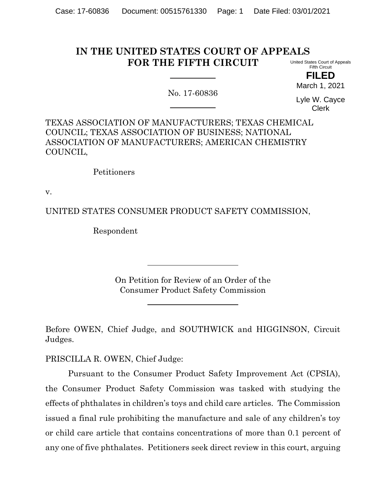#### **IN THE UNITED STATES COURT OF APPEALS FOR THE FIFTH CIRCUIT** United States Court of Appeals Fifth Circuit

No. 17-60836

**FILED** March 1, 2021

Lyle W. Cayce Clerk

TEXAS ASSOCIATION OF MANUFACTURERS; TEXAS CHEMICAL COUNCIL; TEXAS ASSOCIATION OF BUSINESS; NATIONAL ASSOCIATION OF MANUFACTURERS; AMERICAN CHEMISTRY COUNCIL,

Petitioners

v.

UNITED STATES CONSUMER PRODUCT SAFETY COMMISSION,

Respondent

On Petition for Review of an Order of the Consumer Product Safety Commission

Before OWEN, Chief Judge, and SOUTHWICK and HIGGINSON, Circuit Judges.

PRISCILLA R. OWEN, Chief Judge:

Pursuant to the Consumer Product Safety Improvement Act (CPSIA), the Consumer Product Safety Commission was tasked with studying the effects of phthalates in children's toys and child care articles. The Commission issued a final rule prohibiting the manufacture and sale of any children's toy or child care article that contains concentrations of more than 0.1 percent of any one of five phthalates. Petitioners seek direct review in this court, arguing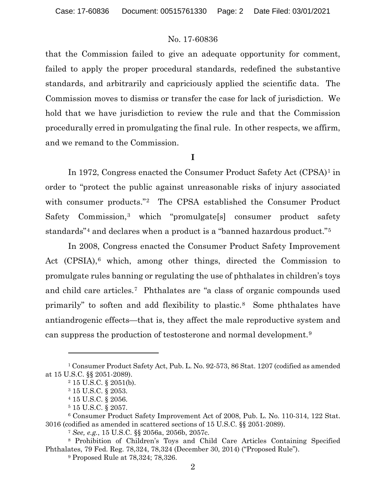that the Commission failed to give an adequate opportunity for comment, failed to apply the proper procedural standards, redefined the substantive standards, and arbitrarily and capriciously applied the scientific data. The Commission moves to dismiss or transfer the case for lack of jurisdiction. We hold that we have jurisdiction to review the rule and that the Commission procedurally erred in promulgating the final rule. In other respects, we affirm, and we remand to the Commission.

# **I**

In 1972, Congress enacted the Consumer Product Safety Act (CPSA)[1](#page-1-0) in order to "protect the public against unreasonable risks of injury associated with consumer products."[2](#page-1-1) The CPSA established the Consumer Product Safety Commission,<sup>[3](#page-1-2)</sup> which "promulgate<sup>[s]</sup> consumer product safety standards"[4](#page-1-3) and declares when a product is a "banned hazardous product."[5](#page-1-4)

In 2008, Congress enacted the Consumer Product Safety Improvement Act (CPSIA),<sup>[6](#page-1-5)</sup> which, among other things, directed the Commission to promulgate rules banning or regulating the use of phthalates in children's toys and child care articles.[7](#page-1-6) Phthalates are "a class of organic compounds used primarily" to soften and add flexibility to plastic.[8](#page-1-7) Some phthalates have antiandrogenic effects—that is, they affect the male reproductive system and can suppress the production of testosterone and normal development.[9](#page-1-8)

<span id="page-1-2"></span><span id="page-1-1"></span><span id="page-1-0"></span><sup>1</sup> Consumer Product Safety Act, Pub. L. No. 92-573, 86 Stat. 1207 (codified as amended at 15 U.S.C. §§ 2051-2089).

<sup>2</sup> 15 U.S.C. § 2051(b).

<sup>3</sup> 15 U.S.C. § 2053.

<sup>4</sup> 15 U.S.C. § 2056.

<sup>5</sup> 15 U.S.C. § 2057.

<span id="page-1-5"></span><span id="page-1-4"></span><span id="page-1-3"></span><sup>6</sup> Consumer Product Safety Improvement Act of 2008, Pub. L. No. 110-314, 122 Stat. 3016 (codified as amended in scattered sections of 15 U.S.C. §§ 2051-2089).

<sup>7</sup> *See, e.g.*, 15 U.S.C. §§ 2056a, 2056b, 2057c.

<span id="page-1-8"></span><span id="page-1-7"></span><span id="page-1-6"></span><sup>8</sup> Prohibition of Children's Toys and Child Care Articles Containing Specified Phthalates, 79 Fed. Reg. 78,324, 78,324 (December 30, 2014) ("Proposed Rule").

<sup>9</sup> Proposed Rule at 78,324; 78,326.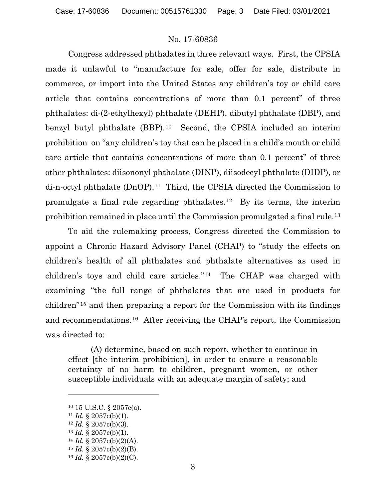Congress addressed phthalates in three relevant ways. First, the CPSIA made it unlawful to "manufacture for sale, offer for sale, distribute in commerce, or import into the United States any children's toy or child care article that contains concentrations of more than 0.1 percent" of three phthalates: di-(2-ethylhexyl) phthalate (DEHP), dibutyl phthalate (DBP), and benzyl butyl phthalate (BBP).[10](#page-2-0) Second, the CPSIA included an interim prohibition on "any children's toy that can be placed in a child's mouth or child care article that contains concentrations of more than 0.1 percent" of three other phthalates: diisononyl phthalate (DINP), diisodecyl phthalate (DIDP), or di-n-octyl phthalate (DnOP).[11](#page-2-1) Third, the CPSIA directed the Commission to promulgate a final rule regarding phthalates.[12](#page-2-2) By its terms, the interim prohibition remained in place until the Commission promulgated a final rule.[13](#page-2-3)

To aid the rulemaking process, Congress directed the Commission to appoint a Chronic Hazard Advisory Panel (CHAP) to "study the effects on children's health of all phthalates and phthalate alternatives as used in children's toys and child care articles."[14](#page-2-4) The CHAP was charged with examining "the full range of phthalates that are used in products for children"[15](#page-2-5) and then preparing a report for the Commission with its findings and recommendations.[16](#page-2-6) After receiving the CHAP's report, the Commission was directed to:

(A) determine, based on such report, whether to continue in effect [the interim prohibition], in order to ensure a reasonable certainty of no harm to children, pregnant women, or other susceptible individuals with an adequate margin of safety; and

<span id="page-2-0"></span><sup>10</sup> 15 U.S.C. § 2057c(a).

<span id="page-2-1"></span><sup>&</sup>lt;sup>11</sup> *Id.* § 2057c(b)(1).

<span id="page-2-2"></span><sup>12</sup> *Id.* § 2057c(b)(3).

<span id="page-2-3"></span><sup>13</sup> *Id.* § 2057c(b)(1).

<span id="page-2-4"></span><sup>14</sup> *Id.* § 2057c(b)(2)(A).

<span id="page-2-5"></span><sup>15</sup> *Id.* § 2057c(b)(2)(B).

<span id="page-2-6"></span><sup>16</sup> *Id.* § 2057c(b)(2)(C).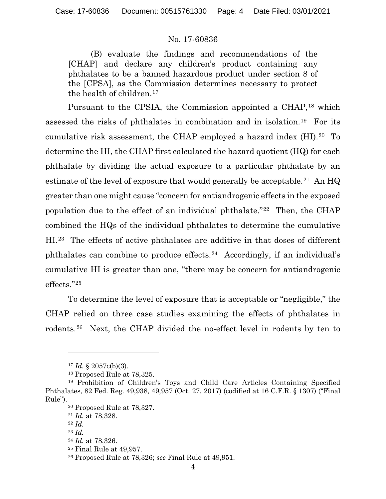(B) evaluate the findings and recommendations of the [CHAP] and declare any children's product containing any phthalates to be a banned hazardous product under section 8 of the [CPSA], as the Commission determines necessary to protect the health of children.[17](#page-3-0)

Pursuant to the CPSIA, the Commission appointed a CHAP,<sup>[18](#page-3-1)</sup> which assessed the risks of phthalates in combination and in isolation.[19](#page-3-2) For its cumulative risk assessment, the CHAP employed a hazard index (HI).[20](#page-3-3) To determine the HI, the CHAP first calculated the hazard quotient (HQ) for each phthalate by dividing the actual exposure to a particular phthalate by an estimate of the level of exposure that would generally be acceptable.<sup>[21](#page-3-4)</sup> An  $HQ$ greater than one might cause "concern for antiandrogenic effects in the exposed population due to the effect of an individual phthalate."[22](#page-3-5) Then, the CHAP combined the HQs of the individual phthalates to determine the cumulative HI.[23](#page-3-6) The effects of active phthalates are additive in that doses of different phthalates can combine to produce effects.[24](#page-3-7) Accordingly, if an individual's cumulative HI is greater than one, "there may be concern for antiandrogenic effects."[25](#page-3-8)

To determine the level of exposure that is acceptable or "negligible," the CHAP relied on three case studies examining the effects of phthalates in rodents.[26](#page-3-9) Next, the CHAP divided the no-effect level in rodents by ten to

 $17$  *Id.* § 2057c(b)(3).

<sup>18</sup> Proposed Rule at 78,325.

<span id="page-3-6"></span><span id="page-3-5"></span><span id="page-3-4"></span><span id="page-3-3"></span><span id="page-3-2"></span><span id="page-3-1"></span><span id="page-3-0"></span><sup>19</sup> Prohibition of Children's Toys and Child Care Articles Containing Specified Phthalates, 82 Fed. Reg. 49,938, 49,957 (Oct. 27, 2017) (codified at 16 C.F.R. § 1307) ("Final Rule").

<sup>20</sup> Proposed Rule at 78,327.

<sup>21</sup> *Id.* at 78,328.

<sup>22</sup> *Id.*

<span id="page-3-7"></span><sup>23</sup> *Id.*

<sup>24</sup> *Id.* at 78,326.

<span id="page-3-9"></span><span id="page-3-8"></span><sup>25</sup> Final Rule at 49,957.

<sup>26</sup> Proposed Rule at 78,326; *see* Final Rule at 49,951.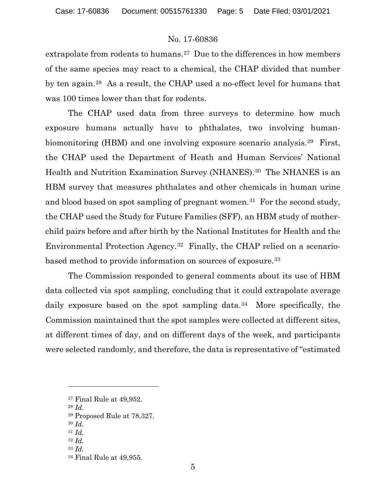extrapolate from rodents to humans.<sup>27</sup> Due to the differences in how members of the same species may react to a chemical, the CHAP divided that number by ten again.[28](#page-4-1) As a result, the CHAP used a no-effect level for humans that was 100 times lower than that for rodents.

The CHAP used data from three surveys to determine how much exposure humans actually have to phthalates, two involving human-biomonitoring (HBM) and one involving exposure scenario analysis.<sup>[29](#page-4-2)</sup> First, the CHAP used the Department of Heath and Human Services' National Health and Nutrition Examination Survey (NHANES).<sup>[30](#page-4-3)</sup> The NHANES is an HBM survey that measures phthalates and other chemicals in human urine and blood based on spot sampling of pregnant women.<sup>[31](#page-4-4)</sup> For the second study, the CHAP used the Study for Future Families (SFF), an HBM study of motherchild pairs before and after birth by the National Institutes for Health and the Environmental Protection Agency.[32](#page-4-5) Finally, the CHAP relied on a scenariobased method to provide information on sources of exposure.[33](#page-4-6) 

The Commission responded to general comments about its use of HBM data collected via spot sampling, concluding that it could extrapolate average daily exposure based on the spot sampling data.<sup>34</sup> More specifically, the Commission maintained that the spot samples were collected at different sites, at different times of day, and on different days of the week, and participants were selected randomly, and therefore, the data is representative of "estimated

- <span id="page-4-1"></span><sup>28</sup> *Id.*
- <sup>29</sup> Proposed Rule at 78,327.
- <span id="page-4-3"></span><span id="page-4-2"></span><sup>30</sup> *Id.*
- <span id="page-4-5"></span><span id="page-4-4"></span><sup>31</sup> *Id.*
- <sup>32</sup> *Id.*
- <span id="page-4-6"></span><sup>33</sup> *Id.*

<span id="page-4-0"></span><sup>27</sup> Final Rule at 49,952.

<span id="page-4-7"></span><sup>34</sup> Final Rule at 49,955.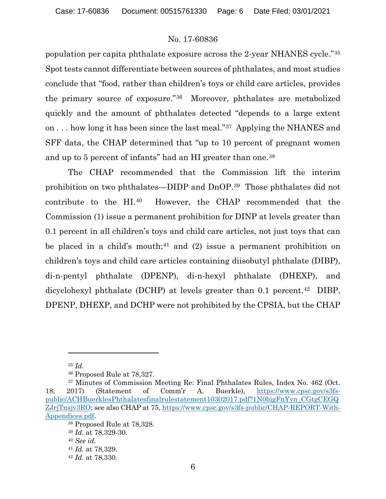population per capita phthalate exposure across the 2-year NHANES cycle."[35](#page-5-0) Spot tests cannot differentiate between sources of phthalates, and most studies conclude that "food, rather than children's toys or child care articles, provides the primary source of exposure."[36](#page-5-1) Moreover, phthalates are metabolized quickly and the amount of phthalates detected "depends to a large extent on . . . how long it has been since the last meal."[37](#page-5-2) Applying the NHANES and SFF data, the CHAP determined that "up to 10 percent of pregnant women and up to 5 percent of infants" had an HI greater than one.[38](#page-5-3)

The CHAP recommended that the Commission lift the interim prohibition on two phthalates—DIDP and DnOP.[39](#page-5-4) Those phthalates did not contribute to the HI.[40](#page-5-5) However, the CHAP recommended that the Commission (1) issue a permanent prohibition for DINP at levels greater than 0.1 percent in all children's toys and child care articles, not just toys that can be placed in a child's mouth;<sup>[41](#page-5-6)</sup> and (2) issue a permanent prohibition on children's toys and child care articles containing diisobutyl phthalate (DIBP), di-n-pentyl phthalate (DPENP), di-n-hexyl phthalate (DHEXP), and dicyclohexyl phthalate (DCHP) at levels greater than 0.1 percent.<sup>42</sup> DIBP, DPENP, DHEXP, and DCHP were not prohibited by the CPSIA, but the CHAP

<sup>35</sup> *Id.*

<sup>36</sup> Proposed Rule at 78,327.

<span id="page-5-4"></span><span id="page-5-3"></span><span id="page-5-2"></span><span id="page-5-1"></span><span id="page-5-0"></span><sup>37</sup> Minutes of Commission Meeting Re: Final Phthalates Rules, Index No. 462 (Oct. 18, 2017) (Statement of Comm'r A. Buerkle), [https://www.cpsc.gov/s3fs](https://www.cpsc.gov/s3fs-public/ACHBuerklesPhthalatesfinalrulestatement10302017.pdf?1N0bigFnYyn_CGtgCEGQZJrjTnsjv3RO)[public/ACHBuerklesPhthalatesfinalrulestatement10302017.pdf?1N0bigFnYyn\\_CGtgCEGQ](https://www.cpsc.gov/s3fs-public/ACHBuerklesPhthalatesfinalrulestatement10302017.pdf?1N0bigFnYyn_CGtgCEGQZJrjTnsjv3RO) [ZJrjTnsjv3RO;](https://www.cpsc.gov/s3fs-public/ACHBuerklesPhthalatesfinalrulestatement10302017.pdf?1N0bigFnYyn_CGtgCEGQZJrjTnsjv3RO) see also CHAP at 75, [https://www.cpsc.gov/s3fs-public/CHAP-REPORT-With-](https://www.cpsc.gov/s3fs-public/CHAP-REPORT-With-Appendices.pdf)[Appendices.pdf.](https://www.cpsc.gov/s3fs-public/CHAP-REPORT-With-Appendices.pdf)

<sup>38</sup> Proposed Rule at 78,328.

<sup>39</sup> *Id.* at 78,329-30.

<span id="page-5-5"></span><sup>40</sup> *See id.*

<span id="page-5-7"></span><span id="page-5-6"></span><sup>41</sup> *Id.* at 78,329.

<sup>42</sup> *Id.* at 78,330.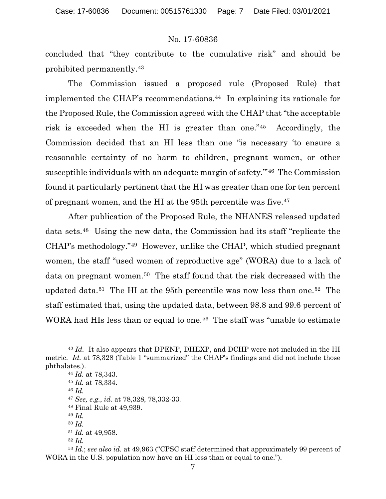concluded that "they contribute to the cumulative risk" and should be prohibited permanently.[43](#page-6-0)

The Commission issued a proposed rule (Proposed Rule) that implemented the CHAP's recommendations.[44](#page-6-1) In explaining its rationale for the Proposed Rule, the Commission agreed with the CHAP that "the acceptable risk is exceeded when the HI is greater than one."[45](#page-6-2) Accordingly, the Commission decided that an HI less than one "is necessary 'to ensure a reasonable certainty of no harm to children, pregnant women, or other susceptible individuals with an adequate margin of safety.'"[46](#page-6-3) The Commission found it particularly pertinent that the HI was greater than one for ten percent of pregnant women, and the HI at the 95th percentile was five.[47](#page-6-4) 

After publication of the Proposed Rule, the NHANES released updated data sets.[48](#page-6-5) Using the new data, the Commission had its staff "replicate the CHAP's methodology."[49](#page-6-6) However, unlike the CHAP, which studied pregnant women, the staff "used women of reproductive age" (WORA) due to a lack of data on pregnant women.<sup>50</sup> The staff found that the risk decreased with the updated data.[51](#page-6-8) The HI at the 95th percentile was now less than one.[52](#page-6-9) The staff estimated that, using the updated data, between 98.8 and 99.6 percent of WORA had HIs less than or equal to one.<sup>53</sup> The staff was "unable to estimate

<span id="page-6-4"></span><span id="page-6-3"></span><span id="page-6-2"></span><span id="page-6-1"></span><span id="page-6-0"></span><sup>43</sup> *Id.* It also appears that DPENP, DHEXP, and DCHP were not included in the HI metric. *Id.* at 78,328 (Table 1 "summarized" the CHAP's findings and did not include those phthalates.).

<sup>44</sup> *Id.* at 78,343. <sup>45</sup> *Id.* at 78,334.

<sup>46</sup> *Id.*

<sup>47</sup> *See, e.g.*, *id.* at 78,328, 78,332-33.

<sup>48</sup> Final Rule at 49,939.

<sup>49</sup> *Id.*

<sup>50</sup> *Id.*

<sup>51</sup> *Id.* at 49,958.

<sup>52</sup> *Id.*

<span id="page-6-10"></span><span id="page-6-9"></span><span id="page-6-8"></span><span id="page-6-7"></span><span id="page-6-6"></span><span id="page-6-5"></span><sup>53</sup> *Id.*; *see also id.* at 49,963 ("CPSC staff determined that approximately 99 percent of WORA in the U.S. population now have an HI less than or equal to one.").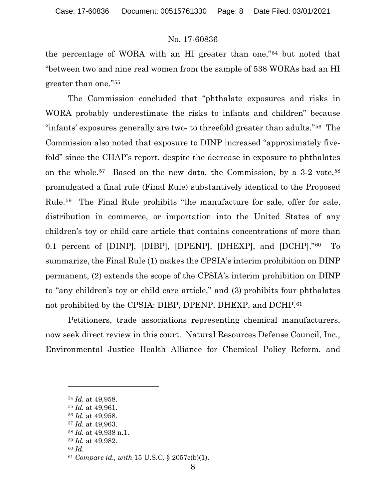the percentage of WORA with an HI greater than one,"[54](#page-7-0) but noted that "between two and nine real women from the sample of 538 WORAs had an HI greater than one."[55](#page-7-1) 

The Commission concluded that "phthalate exposures and risks in WORA probably underestimate the risks to infants and children" because "infants' exposures generally are two- to threefold greater than adults."[56](#page-7-2) The Commission also noted that exposure to DINP increased "approximately fivefold" since the CHAP's report, despite the decrease in exposure to phthalates on the whole.[57](#page-7-3) Based on the new data, the Commission, by a 3-2 vote[,58](#page-7-4) promulgated a final rule (Final Rule) substantively identical to the Proposed Rule.[59](#page-7-5) The Final Rule prohibits "the manufacture for sale, offer for sale, distribution in commerce, or importation into the United States of any children's toy or child care article that contains concentrations of more than 0.1 percent of [DINP], [DIBP], [DPENP], [DHEXP], and [DCHP]."[60](#page-7-6) To summarize, the Final Rule (1) makes the CPSIA's interim prohibition on DINP permanent, (2) extends the scope of the CPSIA's interim prohibition on DINP to "any children's toy or child care article," and (3) prohibits four phthalates not prohibited by the CPSIA: DIBP, DPENP, DHEXP, and DCHP.<sup>61</sup>

Petitioners, trade associations representing chemical manufacturers, now seek direct review in this court. Natural Resources Defense Council, Inc., Environmental Justice Health Alliance for Chemical Policy Reform, and

<sup>59</sup> *Id.* at 49,982.

<span id="page-7-0"></span><sup>54</sup> *Id.* at 49,958.

<span id="page-7-1"></span><sup>55</sup> *Id.* at 49,961.

<span id="page-7-2"></span><sup>56</sup> *Id.* at 49,958.

<span id="page-7-3"></span><sup>57</sup> *Id.* at 49,963.

<span id="page-7-5"></span><span id="page-7-4"></span><sup>58</sup> *Id.* at 49,938 n.1.

<span id="page-7-6"></span><sup>60</sup> *Id.*

<span id="page-7-7"></span><sup>61</sup> *Compare id., with* 15 U.S.C. § 2057c(b)(1).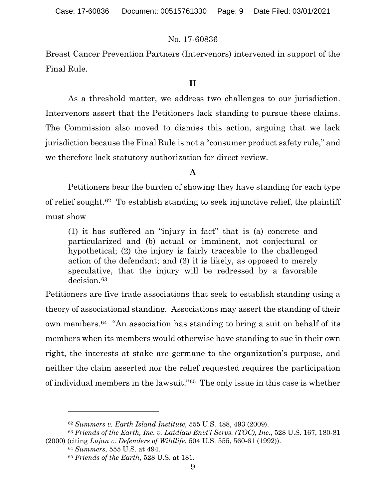Breast Cancer Prevention Partners (Intervenors) intervened in support of the Final Rule.

### **II**

As a threshold matter, we address two challenges to our jurisdiction. Intervenors assert that the Petitioners lack standing to pursue these claims. The Commission also moved to dismiss this action, arguing that we lack jurisdiction because the Final Rule is not a "consumer product safety rule," and we therefore lack statutory authorization for direct review.

## **A**

Petitioners bear the burden of showing they have standing for each type of relief sought.[62](#page-8-0) To establish standing to seek injunctive relief, the plaintiff must show

(1) it has suffered an "injury in fact" that is (a) concrete and particularized and (b) actual or imminent, not conjectural or hypothetical; (2) the injury is fairly traceable to the challenged action of the defendant; and (3) it is likely, as opposed to merely speculative, that the injury will be redressed by a favorable decision.<sup>[63](#page-8-1)</sup>

Petitioners are five trade associations that seek to establish standing using a theory of associational standing. Associations may assert the standing of their own members.[64](#page-8-2) "An association has standing to bring a suit on behalf of its members when its members would otherwise have standing to sue in their own right, the interests at stake are germane to the organization's purpose, and neither the claim asserted nor the relief requested requires the participation of individual members in the lawsuit."[65](#page-8-3) The only issue in this case is whether

<sup>62</sup> *Summers v. Earth Island Institute*, 555 U.S. 488, 493 (2009).

<span id="page-8-3"></span><span id="page-8-2"></span><span id="page-8-1"></span><span id="page-8-0"></span><sup>63</sup> *Friends of the Earth, Inc. v. Laidlaw Envt'l Servs. (TOC), Inc.*, 528 U.S. 167, 180-81 (2000) (citing *Lujan v. Defenders of Wildlife*, 504 U.S. 555, 560-61 (1992)).

<sup>64</sup> *Summers*, 555 U.S. at 494.

<sup>65</sup> *Friends of the Earth*, 528 U.S. at 181.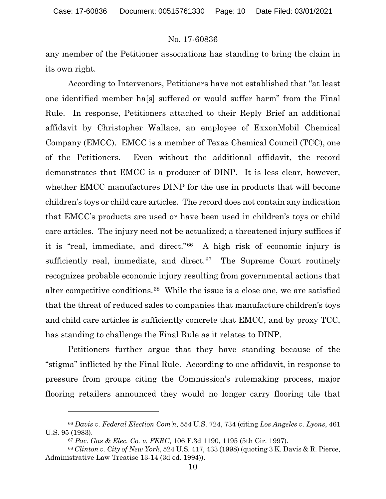any member of the Petitioner associations has standing to bring the claim in its own right.

According to Intervenors, Petitioners have not established that "at least one identified member ha[s] suffered or would suffer harm" from the Final Rule. In response, Petitioners attached to their Reply Brief an additional affidavit by Christopher Wallace, an employee of ExxonMobil Chemical Company (EMCC). EMCC is a member of Texas Chemical Council (TCC), one of the Petitioners. Even without the additional affidavit, the record demonstrates that EMCC is a producer of DINP. It is less clear, however, whether EMCC manufactures DINP for the use in products that will become children's toys or child care articles. The record does not contain any indication that EMCC's products are used or have been used in children's toys or child care articles. The injury need not be actualized; a threatened injury suffices if it is "real, immediate, and direct."[66](#page-9-0) A high risk of economic injury is sufficiently real, immediate, and direct. $67$  The Supreme Court routinely recognizes probable economic injury resulting from governmental actions that alter competitive conditions.[68](#page-9-2) While the issue is a close one, we are satisfied that the threat of reduced sales to companies that manufacture children's toys and child care articles is sufficiently concrete that EMCC, and by proxy TCC, has standing to challenge the Final Rule as it relates to DINP.

Petitioners further argue that they have standing because of the "stigma" inflicted by the Final Rule. According to one affidavit, in response to pressure from groups citing the Commission's rulemaking process, major flooring retailers announced they would no longer carry flooring tile that

<span id="page-9-0"></span><sup>66</sup> *Davis v. Federal Election Com'n*, 554 U.S. 724, 734 (citing *Los Angeles v. Lyons*, 461 U.S. 95 (1983).

<sup>67</sup> *Pac. Gas & Elec. Co. v. FERC*, 106 F.3d 1190, 1195 (5th Cir. 1997).

<span id="page-9-2"></span><span id="page-9-1"></span><sup>68</sup> *Clinton v. City of New York*, 524 U.S. 417, 433 (1998) (quoting 3 K. Davis & R. Pierce, Administrative Law Treatise 13-14 (3d ed. 1994)).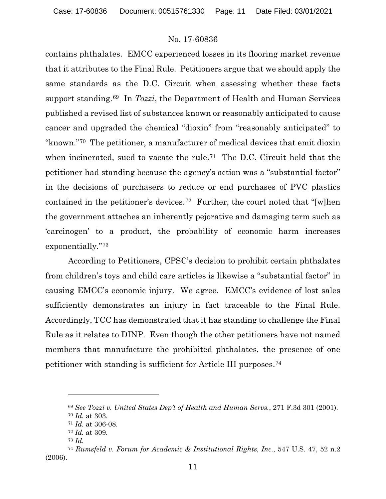contains phthalates. EMCC experienced losses in its flooring market revenue that it attributes to the Final Rule. Petitioners argue that we should apply the same standards as the D.C. Circuit when assessing whether these facts support standing.[69](#page-10-0) In *Tozzi*, the Department of Health and Human Services published a revised list of substances known or reasonably anticipated to cause cancer and upgraded the chemical "dioxin" from "reasonably anticipated" to "known."[70](#page-10-1) The petitioner, a manufacturer of medical devices that emit dioxin when incinerated, sued to vacate the rule.<sup>[71](#page-10-2)</sup> The D.C. Circuit held that the petitioner had standing because the agency's action was a "substantial factor" in the decisions of purchasers to reduce or end purchases of PVC plastics contained in the petitioner's devices.[72](#page-10-3) Further, the court noted that "[w]hen the government attaches an inherently pejorative and damaging term such as 'carcinogen' to a product, the probability of economic harm increases exponentially."[73](#page-10-4)

According to Petitioners, CPSC's decision to prohibit certain phthalates from children's toys and child care articles is likewise a "substantial factor" in causing EMCC's economic injury. We agree. EMCC's evidence of lost sales sufficiently demonstrates an injury in fact traceable to the Final Rule. Accordingly, TCC has demonstrated that it has standing to challenge the Final Rule as it relates to DINP. Even though the other petitioners have not named members that manufacture the prohibited phthalates, the presence of one petitioner with standing is sufficient for Article III purposes.[74](#page-10-5)

<sup>69</sup> *See Tozzi v. United States Dep't of Health and Human Servs.*, 271 F.3d 301 (2001).

<sup>70</sup> *Id.* at 303.

<sup>71</sup> *Id.* at 306-08.

<sup>72</sup> *Id.* at 309.

<sup>73</sup> *Id.*

<span id="page-10-5"></span><span id="page-10-4"></span><span id="page-10-3"></span><span id="page-10-2"></span><span id="page-10-1"></span><span id="page-10-0"></span><sup>74</sup> *Rumsfeld v. Forum for Academic & Institutional Rights, Inc.*, 547 U.S. 47, 52 n.2 (2006).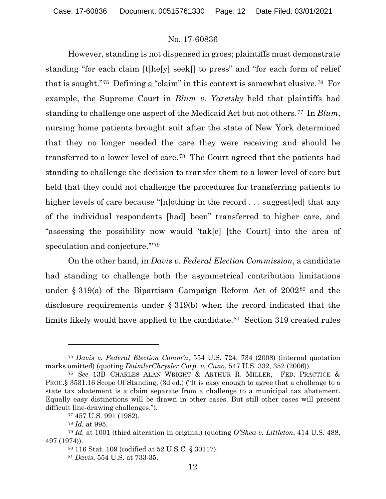However, standing is not dispensed in gross; plaintiffs must demonstrate standing "for each claim [t]he[y] seek[] to press" and "for each form of relief that is sought."[75](#page-11-0) Defining a "claim" in this context is somewhat elusive.[76](#page-11-1) For example, the Supreme Court in *Blum v. Yaretsky* held that plaintiffs had standing to challenge one aspect of the Medicaid Act but not others.[77](#page-11-2) In *Blum*, nursing home patients brought suit after the state of New York determined that they no longer needed the care they were receiving and should be transferred to a lower level of care.[78](#page-11-3) The Court agreed that the patients had standing to challenge the decision to transfer them to a lower level of care but held that they could not challenge the procedures for transferring patients to higher levels of care because "[n]othing in the record . . . suggest [ed] that any of the individual respondents [had] been" transferred to higher care, and "assessing the possibility now would 'tak[e] [the Court] into the area of speculation and conjecture."<sup>[79](#page-11-4)</sup>

On the other hand, in *Davis v. Federal Election Commission*, a candidate had standing to challenge both the asymmetrical contribution limitations under § 319(a) of the Bipartisan Campaign Reform Act of 2002[80](#page-11-5) and the disclosure requirements under § 319(b) when the record indicated that the limits likely would have applied to the candidate.<sup>[81](#page-11-6)</sup> Section 319 created rules

<span id="page-11-0"></span><sup>75</sup> *Davis v. Federal Election Comm'n*, 554 U.S. 724, 734 (2008) (internal quotation marks omitted) (quoting *DaimlerChrysler Corp. v. Cuno*, 547 U.S. 332, 352 (2006)).

<span id="page-11-1"></span><sup>76</sup> *See* 13B CHARLES ALAN WRIGHT & ARTHUR R. MILLER, FED. PRACTICE & PROC.§ 3531.16 Scope Of Standing, (3d ed.) ("It is easy enough to agree that a challenge to a state tax abatement is a claim separate from a challenge to a municipal tax abatement. Equally easy distinctions will be drawn in other cases. But still other cases will present difficult line-drawing challenges.").

<sup>77</sup> 457 U.S. 991 (1982).

<sup>78</sup> *Id.* at 995.

<span id="page-11-6"></span><span id="page-11-5"></span><span id="page-11-4"></span><span id="page-11-3"></span><span id="page-11-2"></span><sup>79</sup> *Id.* at 1001 (third alteration in original) (quoting *O'Shea v. Littleton*, 414 U.S. 488, 497 (1974)).

<sup>80</sup> 116 Stat. 109 (codified at 52 U.S.C. § 30117).

<sup>81</sup> *Davis*, 554 U.S. at 733-35.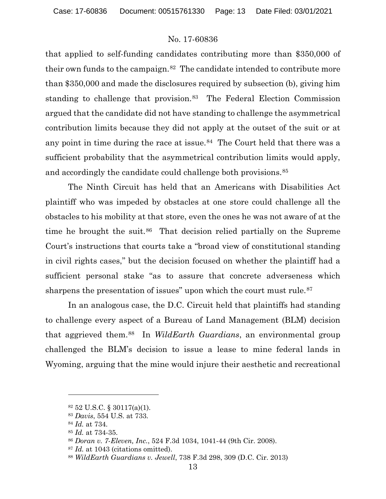that applied to self-funding candidates contributing more than \$350,000 of their own funds to the campaign.[82](#page-12-0) The candidate intended to contribute more than \$350,000 and made the disclosures required by subsection (b), giving him standing to challenge that provision.<sup>[83](#page-12-1)</sup> The Federal Election Commission argued that the candidate did not have standing to challenge the asymmetrical contribution limits because they did not apply at the outset of the suit or at any point in time during the race at issue.<sup>[84](#page-12-2)</sup> The Court held that there was a sufficient probability that the asymmetrical contribution limits would apply, and accordingly the candidate could challenge both provisions.<sup>[85](#page-12-3)</sup>

The Ninth Circuit has held that an Americans with Disabilities Act plaintiff who was impeded by obstacles at one store could challenge all the obstacles to his mobility at that store, even the ones he was not aware of at the time he brought the suit.<sup>[86](#page-12-4)</sup> That decision relied partially on the Supreme Court's instructions that courts take a "broad view of constitutional standing in civil rights cases," but the decision focused on whether the plaintiff had a sufficient personal stake "as to assure that concrete adverseness which sharpens the presentation of issues" upon which the court must rule.<sup>87</sup>

In an analogous case, the D.C. Circuit held that plaintiffs had standing to challenge every aspect of a Bureau of Land Management (BLM) decision that aggrieved them.[88](#page-12-6) In *WildEarth Guardians*, an environmental group challenged the BLM's decision to issue a lease to mine federal lands in Wyoming, arguing that the mine would injure their aesthetic and recreational

<span id="page-12-0"></span> $82$  52 U.S.C. § 30117(a)(1).

<span id="page-12-1"></span><sup>83</sup> *Davis*, 554 U.S. at 733.

<span id="page-12-2"></span><sup>84</sup> *Id.* at 734.

<span id="page-12-4"></span><span id="page-12-3"></span><sup>85</sup> *Id.* at 734-35.

<sup>86</sup> *Doran v. 7-Eleven, Inc.*, 524 F.3d 1034, 1041-44 (9th Cir. 2008).

<span id="page-12-5"></span><sup>87</sup> *Id.* at 1043 (citations omitted).

<span id="page-12-6"></span><sup>88</sup> *WildEarth Guardians v. Jewell*, 738 F.3d 298, 309 (D.C. Cir. 2013)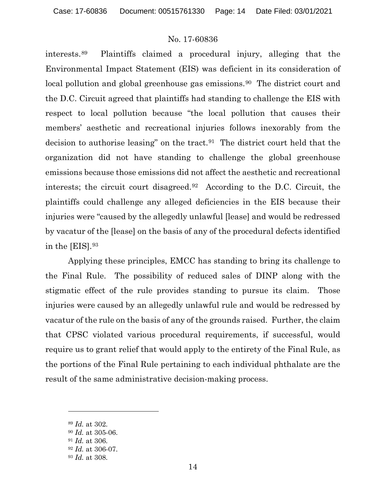interests.[89](#page-13-0) Plaintiffs claimed a procedural injury, alleging that the Environmental Impact Statement (EIS) was deficient in its consideration of local pollution and global greenhouse gas emissions.<sup>[90](#page-13-1)</sup> The district court and the D.C. Circuit agreed that plaintiffs had standing to challenge the EIS with respect to local pollution because "the local pollution that causes their members' aesthetic and recreational injuries follows inexorably from the decision to authorise leasing" on the tract.[91](#page-13-2) The district court held that the organization did not have standing to challenge the global greenhouse emissions because those emissions did not affect the aesthetic and recreational interests; the circuit court disagreed.[92](#page-13-3) According to the D.C. Circuit, the plaintiffs could challenge any alleged deficiencies in the EIS because their injuries were "caused by the allegedly unlawful [lease] and would be redressed by vacatur of the [lease] on the basis of any of the procedural defects identified in the [EIS].[93](#page-13-4)

Applying these principles, EMCC has standing to bring its challenge to the Final Rule. The possibility of reduced sales of DINP along with the stigmatic effect of the rule provides standing to pursue its claim. Those injuries were caused by an allegedly unlawful rule and would be redressed by vacatur of the rule on the basis of any of the grounds raised. Further, the claim that CPSC violated various procedural requirements, if successful, would require us to grant relief that would apply to the entirety of the Final Rule, as the portions of the Final Rule pertaining to each individual phthalate are the result of the same administrative decision-making process.

<span id="page-13-0"></span><sup>89</sup> *Id.* at 302.

<span id="page-13-2"></span><span id="page-13-1"></span><sup>90</sup> *Id.* at 305-06.

<sup>91</sup> *Id.* at 306.

<span id="page-13-3"></span><sup>92</sup> *Id.* at 306-07.

<span id="page-13-4"></span><sup>93</sup> *Id.* at 308.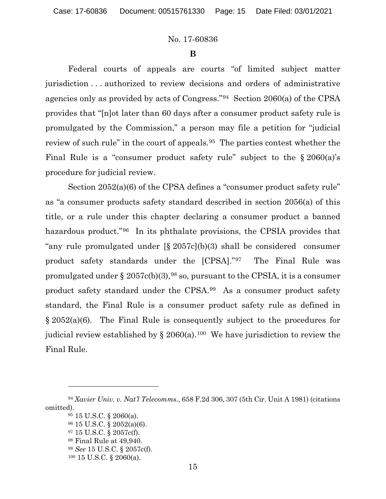#### **B**

Federal courts of appeals are courts "of limited subject matter jurisdiction . . . authorized to review decisions and orders of administrative agencies only as provided by acts of Congress."[94](#page-14-0) Section 2060(a) of the CPSA provides that "[n]ot later than 60 days after a consumer product safety rule is promulgated by the Commission," a person may file a petition for "judicial review of such rule" in the court of appeals.[95](#page-14-1) The parties contest whether the Final Rule is a "consumer product safety rule" subject to the  $\S 2060(a)$ 's procedure for judicial review.

Section 2052(a)(6) of the CPSA defines a "consumer product safety rule" as "a consumer products safety standard described in section 2056(a) of this title, or a rule under this chapter declaring a consumer product a banned hazardous product."[96](#page-14-2) In its phthalate provisions, the CPSIA provides that "any rule promulgated under [§ 2057c](b)(3) shall be considered consumer product safety standards under the [CPSA]."[97](#page-14-3) The Final Rule was promulgated under  $\S 2057c(b)(3)$ , <sup>[98](#page-14-4)</sup> so, pursuant to the CPSIA, it is a consumer product safety standard under the CPSA.[99](#page-14-5) As a consumer product safety standard, the Final Rule is a consumer product safety rule as defined in § 2052(a)(6). The Final Rule is consequently subject to the procedures for judicial review established by  $\S 2060(a)$ .<sup>[100](#page-14-6)</sup> We have jurisdiction to review the Final Rule.

<span id="page-14-5"></span><span id="page-14-4"></span><span id="page-14-3"></span><span id="page-14-2"></span><span id="page-14-1"></span><span id="page-14-0"></span><sup>94</sup> *Xavier Univ. v. Nat'l Telecomms.*, 658 F.2d 306, 307 (5th Cir. Unit A 1981) (citations omitted).

<sup>95</sup> 15 U.S.C. § 2060(a).

<sup>96</sup> 15 U.S.C. § 2052(a)(6).

<sup>97</sup> 15 U.S.C. § 2057c(f).

<sup>98</sup> Final Rule at 49,940.

<span id="page-14-6"></span><sup>99</sup> *See* 15 U.S.C. § 2057c(f).

<sup>100</sup> 15 U.S.C. § 2060(a).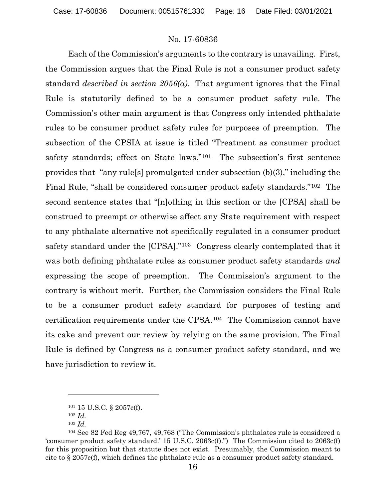Each of the Commission's arguments to the contrary is unavailing. First, the Commission argues that the Final Rule is not a consumer product safety standard *described in section 2056(a)*. That argument ignores that the Final Rule is statutorily defined to be a consumer product safety rule. The Commission's other main argument is that Congress only intended phthalate rules to be consumer product safety rules for purposes of preemption. The subsection of the CPSIA at issue is titled "Treatment as consumer product safety standards; effect on State laws."[101](#page-15-0) The subsection's first sentence provides that "any rule[s] promulgated under subsection (b)(3)," including the Final Rule, "shall be considered consumer product safety standards."[102](#page-15-1) The second sentence states that "[n]othing in this section or the [CPSA] shall be construed to preempt or otherwise affect any State requirement with respect to any phthalate alternative not specifically regulated in a consumer product safety standard under the [CPSA]."[103](#page-15-2) Congress clearly contemplated that it was both defining phthalate rules as consumer product safety standards *and*  expressing the scope of preemption. The Commission's argument to the contrary is without merit. Further, the Commission considers the Final Rule to be a consumer product safety standard for purposes of testing and certification requirements under the CPSA.[104](#page-15-3) The Commission cannot have its cake and prevent our review by relying on the same provision. The Final Rule is defined by Congress as a consumer product safety standard, and we have jurisdiction to review it.

<sup>101</sup> 15 U.S.C. § 2057c(f).

<sup>102</sup> *Id.*

<sup>103</sup> *Id.*

<span id="page-15-3"></span><span id="page-15-2"></span><span id="page-15-1"></span><span id="page-15-0"></span><sup>104</sup> See 82 Fed Reg 49,767, 49,768 ("The Commission's phthalates rule is considered a 'consumer product safety standard.' 15 U.S.C. 2063c(f).") The Commission cited to 2063c(f) for this proposition but that statute does not exist. Presumably, the Commission meant to cite to § 2057c(f), which defines the phthalate rule as a consumer product safety standard.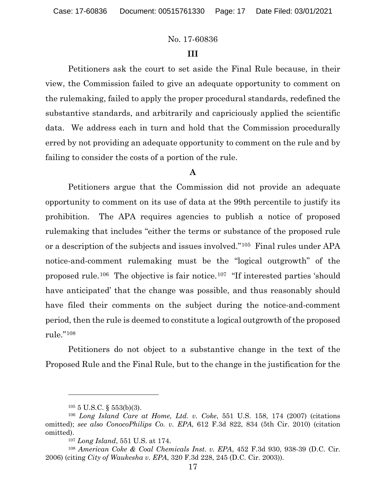# **III**

Petitioners ask the court to set aside the Final Rule because, in their view, the Commission failed to give an adequate opportunity to comment on the rulemaking, failed to apply the proper procedural standards, redefined the substantive standards, and arbitrarily and capriciously applied the scientific data. We address each in turn and hold that the Commission procedurally erred by not providing an adequate opportunity to comment on the rule and by failing to consider the costs of a portion of the rule.

# **A**

Petitioners argue that the Commission did not provide an adequate opportunity to comment on its use of data at the 99th percentile to justify its prohibition. The APA requires agencies to publish a notice of proposed rulemaking that includes "either the terms or substance of the proposed rule or a description of the subjects and issues involved."[105](#page-16-0) Final rules under APA notice-and-comment rulemaking must be the "logical outgrowth" of the proposed rule.[106](#page-16-1) The objective is fair notice.[107](#page-16-2) "If interested parties 'should have anticipated' that the change was possible, and thus reasonably should have filed their comments on the subject during the notice-and-comment period, then the rule is deemed to constitute a logical outgrowth of the proposed rule."[108](#page-16-3) 

Petitioners do not object to a substantive change in the text of the Proposed Rule and the Final Rule, but to the change in the justification for the

 $105$  5 U.S.C. § 553(b)(3).

<span id="page-16-1"></span><span id="page-16-0"></span><sup>106</sup> *Long Island Care at Home, Ltd. v. Coke*, 551 U.S. 158, 174 (2007) (citations omitted); *see also ConocoPhilips Co. v. EPA*, 612 F.3d 822, 834 (5th Cir. 2010) (citation omitted).

<sup>107</sup> *Long Island*, 551 U.S. at 174.

<span id="page-16-3"></span><span id="page-16-2"></span><sup>108</sup> *American Coke & Coal Chemicals Inst. v. EPA*, 452 F.3d 930, 938-39 (D.C. Cir. 2006) (citing *City of Waukesha v. EPA*, 320 F.3d 228, 245 (D.C. Cir. 2003)).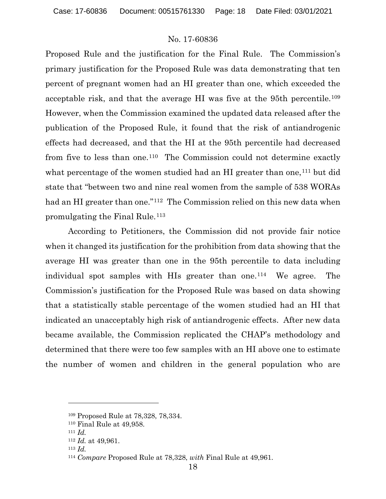Proposed Rule and the justification for the Final Rule. The Commission's primary justification for the Proposed Rule was data demonstrating that ten percent of pregnant women had an HI greater than one, which exceeded the acceptable risk, and that the average HI was five at the 95<sup>th</sup> percentile.<sup>[109](#page-17-0)</sup> However, when the Commission examined the updated data released after the publication of the Proposed Rule, it found that the risk of antiandrogenic effects had decreased, and that the HI at the 95th percentile had decreased from five to less than one.[110](#page-17-1) The Commission could not determine exactly what percentage of the women studied had an HI greater than one,<sup>[111](#page-17-2)</sup> but did state that "between two and nine real women from the sample of 538 WORAs had an HI greater than one."<sup>[112](#page-17-3)</sup> The Commission relied on this new data when promulgating the Final Rule.[113](#page-17-4)

According to Petitioners, the Commission did not provide fair notice when it changed its justification for the prohibition from data showing that the average HI was greater than one in the 95th percentile to data including individual spot samples with HIs greater than one.<sup>114</sup> We agree. The Commission's justification for the Proposed Rule was based on data showing that a statistically stable percentage of the women studied had an HI that indicated an unacceptably high risk of antiandrogenic effects. After new data became available, the Commission replicated the CHAP's methodology and determined that there were too few samples with an HI above one to estimate the number of women and children in the general population who are

<sup>109</sup> Proposed Rule at 78,328, 78,334.

<span id="page-17-2"></span><span id="page-17-1"></span><span id="page-17-0"></span><sup>110</sup> Final Rule at 49,958.

<sup>111</sup> *Id.*

<span id="page-17-3"></span><sup>112</sup> *Id.* at 49,961.

<sup>113</sup> *Id.*

<span id="page-17-5"></span><span id="page-17-4"></span><sup>114</sup> *Compare* Proposed Rule at 78,328, *with* Final Rule at 49,961.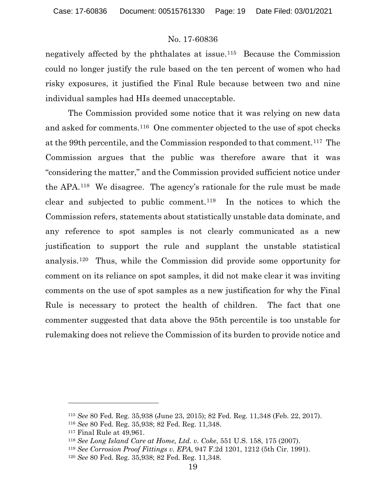negatively affected by the phthalates at issue.[115](#page-18-0) Because the Commission could no longer justify the rule based on the ten percent of women who had risky exposures, it justified the Final Rule because between two and nine individual samples had HIs deemed unacceptable.

The Commission provided some notice that it was relying on new data and asked for comments.[116](#page-18-1) One commenter objected to the use of spot checks at the 99th percentile, and the Commission responded to that comment.[117](#page-18-2) The Commission argues that the public was therefore aware that it was "considering the matter," and the Commission provided sufficient notice under the APA.[118](#page-18-3) We disagree. The agency's rationale for the rule must be made clear and subjected to public comment.[119](#page-18-4) In the notices to which the Commission refers, statements about statistically unstable data dominate, and any reference to spot samples is not clearly communicated as a new justification to support the rule and supplant the unstable statistical analysis.[120](#page-18-5) Thus, while the Commission did provide some opportunity for comment on its reliance on spot samples, it did not make clear it was inviting comments on the use of spot samples as a new justification for why the Final Rule is necessary to protect the health of children. The fact that one commenter suggested that data above the 95th percentile is too unstable for rulemaking does not relieve the Commission of its burden to provide notice and

<span id="page-18-0"></span><sup>115</sup> *See* 80 Fed. Reg. 35,938 (June 23, 2015); 82 Fed. Reg. 11,348 (Feb. 22, 2017).

<span id="page-18-1"></span><sup>116</sup> *See* 80 Fed. Reg. 35,938; 82 Fed. Reg. 11,348.

<span id="page-18-2"></span><sup>117</sup> Final Rule at 49,961.

<span id="page-18-3"></span><sup>118</sup> *See Long Island Care at Home, Ltd. v. Coke*, 551 U.S. 158, 175 (2007).

<span id="page-18-4"></span><sup>119</sup> *See Corrosion Proof Fittings v. EPA*, 947 F.2d 1201, 1212 (5th Cir. 1991).

<span id="page-18-5"></span><sup>120</sup> *See* 80 Fed. Reg. 35,938; 82 Fed. Reg. 11,348.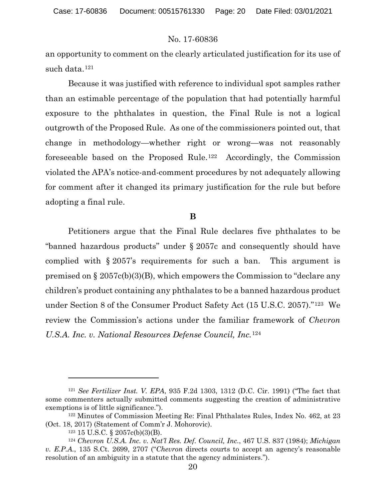an opportunity to comment on the clearly articulated justification for its use of such data.[121](#page-19-0) 

Because it was justified with reference to individual spot samples rather than an estimable percentage of the population that had potentially harmful exposure to the phthalates in question, the Final Rule is not a logical outgrowth of the Proposed Rule. As one of the commissioners pointed out, that change in methodology—whether right or wrong—was not reasonably foreseeable based on the Proposed Rule.[122](#page-19-1) Accordingly, the Commission violated the APA's notice-and-comment procedures by not adequately allowing for comment after it changed its primary justification for the rule but before adopting a final rule.

#### **B**

Petitioners argue that the Final Rule declares five phthalates to be "banned hazardous products" under § 2057c and consequently should have complied with § 2057's requirements for such a ban. This argument is premised on § 2057c(b)(3)(B), which empowers the Commission to "declare any children's product containing any phthalates to be a banned hazardous product under Section 8 of the Consumer Product Safety Act (15 U.S.C. 2057)."[123](#page-19-2) We review the Commission's actions under the familiar framework of *Chevron U.S.A. Inc. v. National Resources Defense Council, Inc.*[124](#page-19-3)

<span id="page-19-0"></span><sup>121</sup> *See Fertilizer Inst. V. EPA*, 935 F.2d 1303, 1312 (D.C. Cir. 1991) ("The fact that some commenters actually submitted comments suggesting the creation of administrative exemptions is of little significance.").

<span id="page-19-1"></span><sup>122</sup> Minutes of Commission Meeting Re: Final Phthalates Rules, Index No. 462, at 23 (Oct. 18, 2017) (Statement of Comm'r J. Mohorovic).

<sup>123</sup> 15 U.S.C. § 2057c(b)(3)(B).

<span id="page-19-3"></span><span id="page-19-2"></span><sup>124</sup> *Chevron U.S.A. Inc. v. Nat'l Res. Def. Council, Inc.*, 467 U.S. 837 (1984); *Michigan v. E.P.A.*, 135 S.Ct. 2699, 2707 ("*Chevron* directs courts to accept an agency's reasonable resolution of an ambiguity in a statute that the agency administers.").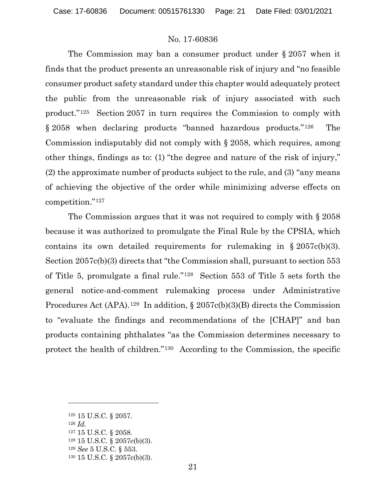The Commission may ban a consumer product under § 2057 when it finds that the product presents an unreasonable risk of injury and "no feasible consumer product safety standard under this chapter would adequately protect the public from the unreasonable risk of injury associated with such product."[125](#page-20-0) Section 2057 in turn requires the Commission to comply with § 2058 when declaring products "banned hazardous products."[126](#page-20-1) The Commission indisputably did not comply with § 2058, which requires, among other things, findings as to: (1) "the degree and nature of the risk of injury," (2) the approximate number of products subject to the rule, and (3) "any means of achieving the objective of the order while minimizing adverse effects on competition."[127](#page-20-2)

The Commission argues that it was not required to comply with § 2058 because it was authorized to promulgate the Final Rule by the CPSIA, which contains its own detailed requirements for rulemaking in  $\S 2057c(b)(3)$ . Section 2057c(b)(3) directs that "the Commission shall, pursuant to section 553 of Title 5, promulgate a final rule."[128](#page-20-3) Section 553 of Title 5 sets forth the general notice-and-comment rulemaking process under Administrative Procedures Act (APA).<sup>129</sup> In addition,  $\S 2057c(b)(3)(B)$  directs the Commission to "evaluate the findings and recommendations of the [CHAP]" and ban products containing phthalates "as the Commission determines necessary to protect the health of children."[130](#page-20-5) According to the Commission, the specific

<span id="page-20-0"></span><sup>125</sup> 15 U.S.C. § 2057.

<span id="page-20-1"></span><sup>126</sup> *Id.*

<span id="page-20-2"></span><sup>127</sup> 15 U.S.C. § 2058.

<span id="page-20-3"></span><sup>128</sup> 15 U.S.C. § 2057c(b)(3).

<span id="page-20-4"></span><sup>129</sup> *See* 5 U.S.C. § 553.

<span id="page-20-5"></span><sup>130</sup> 15 U.S.C. § 2057c(b)(3).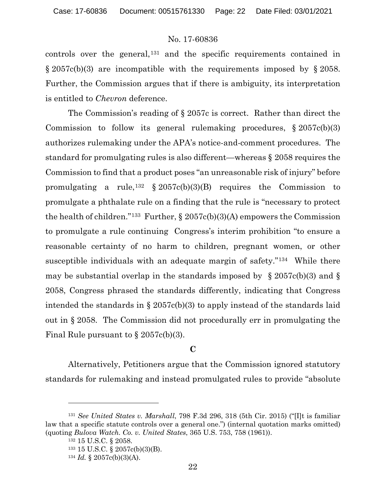controls over the general,<sup>[131](#page-21-0)</sup> and the specific requirements contained in  $\S 2057c(b)(3)$  are incompatible with the requirements imposed by  $\S 2058$ . Further, the Commission argues that if there is ambiguity, its interpretation is entitled to *Chevron* deference.

The Commission's reading of § 2057c is correct. Rather than direct the Commission to follow its general rulemaking procedures,  $\S 2057c(b)(3)$ authorizes rulemaking under the APA's notice-and-comment procedures. The standard for promulgating rules is also different—whereas § 2058 requires the Commission to find that a product poses "an unreasonable risk of injury" before promulgating a rule,<sup>[132](#page-21-1)</sup> § 2057c(b)(3)(B) requires the Commission to promulgate a phthalate rule on a finding that the rule is "necessary to protect the health of children."<sup>[133](#page-21-2)</sup> Further,  $\S 2057c(b)(3)(A)$  empowers the Commission to promulgate a rule continuing Congress's interim prohibition "to ensure a reasonable certainty of no harm to children, pregnant women, or other susceptible individuals with an adequate margin of safety."[134](#page-21-3) While there may be substantial overlap in the standards imposed by  $\S$  2057c(b)(3) and  $\S$ 2058, Congress phrased the standards differently, indicating that Congress intended the standards in § 2057c(b)(3) to apply instead of the standards laid out in § 2058. The Commission did not procedurally err in promulgating the Final Rule pursuant to  $\S 2057c(b)(3)$ .

#### **C**

Alternatively, Petitioners argue that the Commission ignored statutory standards for rulemaking and instead promulgated rules to provide "absolute

<span id="page-21-3"></span><span id="page-21-2"></span><span id="page-21-1"></span><span id="page-21-0"></span><sup>131</sup> *See United States v. Marshall*, 798 F.3d 296, 318 (5th Cir. 2015) ("[I]t is familiar law that a specific statute controls over a general one.") (internal quotation marks omitted) (quoting *Bulova Watch. Co. v. United States*, 365 U.S. 753, 758 (1961)).

<sup>132</sup> 15 U.S.C. § 2058.

<sup>133</sup> 15 U.S.C. § 2057c(b)(3)(B).

 $134$  *Id.* § 2057c(b)(3)(A).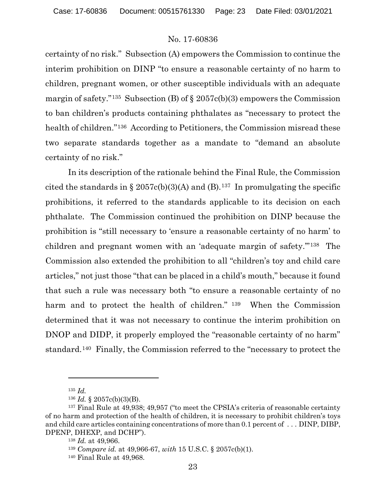certainty of no risk." Subsection (A) empowers the Commission to continue the interim prohibition on DINP "to ensure a reasonable certainty of no harm to children, pregnant women, or other susceptible individuals with an adequate margin of safety."<sup>[135](#page-22-0)</sup> Subsection (B) of  $\S 2057c(b)(3)$  empowers the Commission to ban children's products containing phthalates as "necessary to protect the health of children."[136](#page-22-1) According to Petitioners, the Commission misread these two separate standards together as a mandate to "demand an absolute certainty of no risk."

In its description of the rationale behind the Final Rule, the Commission cited the standards in § 2057c(b)(3)(A) and (B).<sup>[137](#page-22-2)</sup> In promulgating the specific prohibitions, it referred to the standards applicable to its decision on each phthalate. The Commission continued the prohibition on DINP because the prohibition is "still necessary to 'ensure a reasonable certainty of no harm' to children and pregnant women with an 'adequate margin of safety.'"[138](#page-22-3) The Commission also extended the prohibition to all "children's toy and child care articles," not just those "that can be placed in a child's mouth," because it found that such a rule was necessary both "to ensure a reasonable certainty of no harm and to protect the health of children." [139](#page-22-4) When the Commission determined that it was not necessary to continue the interim prohibition on DNOP and DIDP, it properly employed the "reasonable certainty of no harm" standard.[140](#page-22-5) Finally, the Commission referred to the "necessary to protect the

<sup>135</sup> *Id.*

<sup>136</sup> *Id.* § 2057c(b)(3)(B).

<span id="page-22-5"></span><span id="page-22-4"></span><span id="page-22-3"></span><span id="page-22-2"></span><span id="page-22-1"></span><span id="page-22-0"></span><sup>&</sup>lt;sup>137</sup> Final Rule at 49,938; 49,957 ("to meet the CPSIA's criteria of reasonable certainty of no harm and protection of the health of children, it is necessary to prohibit children's toys and child care articles containing concentrations of more than 0.1 percent of . . . DINP, DIBP, DPENP, DHEXP, and DCHP").

<sup>138</sup> *Id.* at 49,966.

<sup>139</sup> *Compare id.* at 49,966-67, *with* 15 U.S.C. § 2057c(b)(1).

<sup>140</sup> Final Rule at 49,968.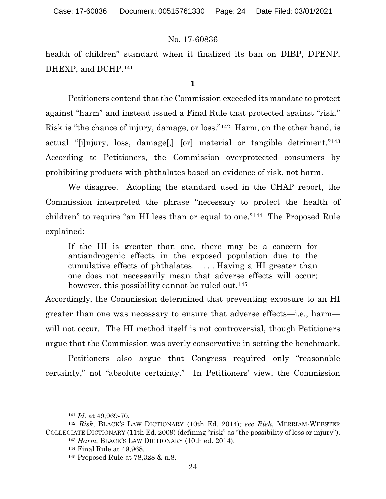health of children" standard when it finalized its ban on DIBP, DPENP, DHEXP, and DCHP.<sup>[141](#page-23-0)</sup>

**1**

Petitioners contend that the Commission exceeded its mandate to protect against "harm" and instead issued a Final Rule that protected against "risk." Risk is "the chance of injury, damage, or loss."[142](#page-23-1) Harm, on the other hand, is actual "[i]njury, loss, damage[,] [or] material or tangible detriment."[143](#page-23-2) According to Petitioners, the Commission overprotected consumers by prohibiting products with phthalates based on evidence of risk, not harm.

We disagree. Adopting the standard used in the CHAP report, the Commission interpreted the phrase "necessary to protect the health of children" to require "an HI less than or equal to one."[144](#page-23-3) The Proposed Rule explained:

If the HI is greater than one, there may be a concern for antiandrogenic effects in the exposed population due to the cumulative effects of phthalates. . . . Having a HI greater than one does not necessarily mean that adverse effects will occur; however, this possibility cannot be ruled out.<sup>[145](#page-23-4)</sup>

Accordingly, the Commission determined that preventing exposure to an HI greater than one was necessary to ensure that adverse effects—i.e., harm will not occur. The HI method itself is not controversial, though Petitioners argue that the Commission was overly conservative in setting the benchmark.

Petitioners also argue that Congress required only "reasonable certainty," not "absolute certainty." In Petitioners' view, the Commission

<sup>141</sup> *Id.* at 49,969-70.

<span id="page-23-4"></span><span id="page-23-3"></span><span id="page-23-2"></span><span id="page-23-1"></span><span id="page-23-0"></span><sup>142</sup> *Risk,* BLACK'S LAW DICTIONARY (10th Ed. 2014)*; see Risk*, MERRIAM-WEBSTER COLLEGIATE DICTIONARY (11th Ed. 2009) (defining "risk" as "the possibility of loss or injury").

<sup>143</sup> *Harm*, BLACK'S LAW DICTIONARY (10th ed. 2014).

<sup>144</sup> Final Rule at 49,968.

<sup>145</sup> Proposed Rule at 78,328 & n.8.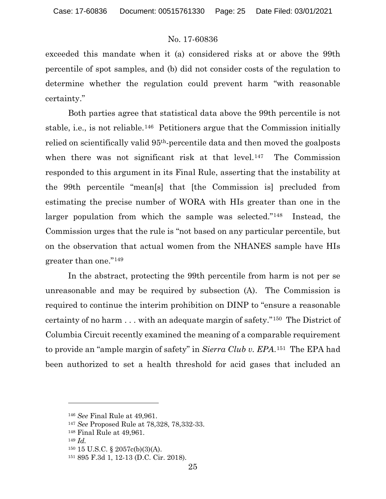exceeded this mandate when it (a) considered risks at or above the 99th percentile of spot samples, and (b) did not consider costs of the regulation to determine whether the regulation could prevent harm "with reasonable certainty."

Both parties agree that statistical data above the 99th percentile is not stable, i.e., is not reliable.[146](#page-24-0) Petitioners argue that the Commission initially relied on scientifically valid 95th-percentile data and then moved the goalposts when there was not significant risk at that level.<sup>[147](#page-24-1)</sup> The Commission responded to this argument in its Final Rule, asserting that the instability at the 99th percentile "mean[s] that [the Commission is] precluded from estimating the precise number of WORA with HIs greater than one in the larger population from which the sample was selected."<sup>[148](#page-24-2)</sup> Instead, the Commission urges that the rule is "not based on any particular percentile, but on the observation that actual women from the NHANES sample have HIs greater than one."[149](#page-24-3) 

In the abstract, protecting the 99th percentile from harm is not per se unreasonable and may be required by subsection (A). The Commission is required to continue the interim prohibition on DINP to "ensure a reasonable certainty of no harm . . . with an adequate margin of safety."[150](#page-24-4) The District of Columbia Circuit recently examined the meaning of a comparable requirement to provide an "ample margin of safety" in *Sierra Club v. EPA*.[151](#page-24-5) The EPA had been authorized to set a health threshold for acid gases that included an

<span id="page-24-0"></span><sup>146</sup> *See* Final Rule at 49,961.

<span id="page-24-1"></span><sup>147</sup> *See* Proposed Rule at 78,328, 78,332-33.

<span id="page-24-2"></span><sup>148</sup> Final Rule at 49,961.

<span id="page-24-3"></span><sup>149</sup> *Id.*

<span id="page-24-4"></span><sup>150</sup> 15 U.S.C. § 2057c(b)(3)(A).

<span id="page-24-5"></span><sup>151</sup> 895 F.3d 1, 12-13 (D.C. Cir. 2018).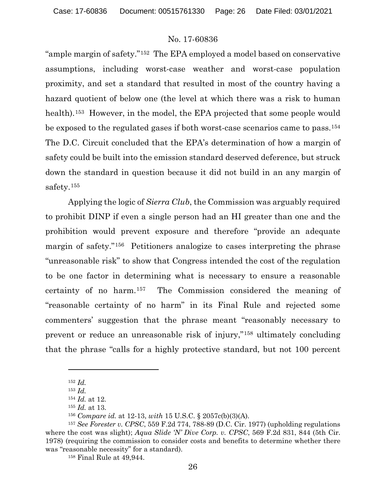"ample margin of safety."[152](#page-25-0) The EPA employed a model based on conservative assumptions, including worst-case weather and worst-case population proximity, and set a standard that resulted in most of the country having a hazard quotient of below one (the level at which there was a risk to human health).<sup>153</sup> However, in the model, the EPA projected that some people would be exposed to the regulated gases if both worst-case scenarios came to pass.[154](#page-25-2) The D.C. Circuit concluded that the EPA's determination of how a margin of safety could be built into the emission standard deserved deference, but struck down the standard in question because it did not build in an any margin of safety.[155](#page-25-3)

Applying the logic of *Sierra Club*, the Commission was arguably required to prohibit DINP if even a single person had an HI greater than one and the prohibition would prevent exposure and therefore "provide an adequate margin of safety."<sup>[156](#page-25-4)</sup> Petitioners analogize to cases interpreting the phrase "unreasonable risk" to show that Congress intended the cost of the regulation to be one factor in determining what is necessary to ensure a reasonable certainty of no harm.[157](#page-25-5) The Commission considered the meaning of "reasonable certainty of no harm" in its Final Rule and rejected some commenters' suggestion that the phrase meant "reasonably necessary to prevent or reduce an unreasonable risk of injury,"[158](#page-25-6) ultimately concluding that the phrase "calls for a highly protective standard, but not 100 percent

<sup>152</sup> *Id.*

<sup>153</sup> *Id.*

<sup>154</sup> *Id.* at 12.

<sup>155</sup> *Id.* at 13.

<sup>156</sup> *Compare id.* at 12-13, *with* 15 U.S.C. § 2057c(b)(3)(A).

<span id="page-25-6"></span><span id="page-25-5"></span><span id="page-25-4"></span><span id="page-25-3"></span><span id="page-25-2"></span><span id="page-25-1"></span><span id="page-25-0"></span><sup>157</sup> *See Forester v. CPSC*, 559 F.2d 774, 788-89 (D.C. Cir. 1977) (upholding regulations where the cost was slight); *Aqua Slide 'N' Dive Corp. v. CPSC*, 569 F.2d 831, 844 (5th Cir. 1978) (requiring the commission to consider costs and benefits to determine whether there was "reasonable necessity" for a standard).

<sup>158</sup> Final Rule at 49,944.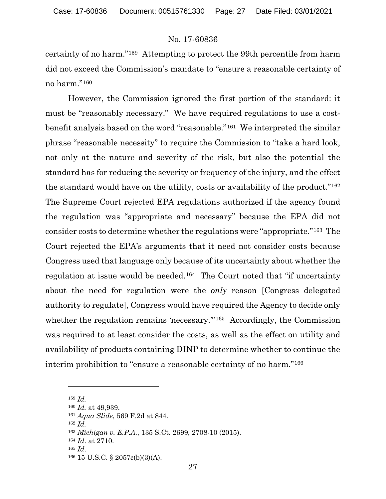certainty of no harm."[159](#page-26-0) Attempting to protect the 99th percentile from harm did not exceed the Commission's mandate to "ensure a reasonable certainty of no harm."[160](#page-26-1)

However, the Commission ignored the first portion of the standard: it must be "reasonably necessary." We have required regulations to use a costbenefit analysis based on the word "reasonable."[161](#page-26-2) We interpreted the similar phrase "reasonable necessity" to require the Commission to "take a hard look, not only at the nature and severity of the risk, but also the potential the standard has for reducing the severity or frequency of the injury, and the effect the standard would have on the utility, costs or availability of the product."[162](#page-26-3) The Supreme Court rejected EPA regulations authorized if the agency found the regulation was "appropriate and necessary" because the EPA did not consider costs to determine whether the regulations were "appropriate."[163](#page-26-4) The Court rejected the EPA's arguments that it need not consider costs because Congress used that language only because of its uncertainty about whether the regulation at issue would be needed.<sup>[164](#page-26-5)</sup> The Court noted that "if uncertainty" about the need for regulation were the *only* reason [Congress delegated authority to regulate], Congress would have required the Agency to decide only whether the regulation remains 'necessary."<sup>165</sup> Accordingly, the Commission was required to at least consider the costs, as well as the effect on utility and availability of products containing DINP to determine whether to continue the interim prohibition to "ensure a reasonable certainty of no harm."[166](#page-26-7)

<span id="page-26-1"></span><span id="page-26-0"></span><sup>159</sup> *Id.*

<sup>160</sup> *Id.* at 49,939.

<span id="page-26-2"></span><sup>161</sup> *Aqua Slide*, 569 F.2d at 844.

<span id="page-26-3"></span><sup>162</sup> *Id.*

<span id="page-26-4"></span><sup>163</sup> *Michigan v. E.P.A.*, 135 S.Ct. 2699, 2708-10 (2015).

<span id="page-26-6"></span><span id="page-26-5"></span><sup>164</sup> *Id*. at 2710.

<sup>165</sup> *Id*.

<span id="page-26-7"></span><sup>166</sup> 15 U.S.C. § 2057c(b)(3)(A).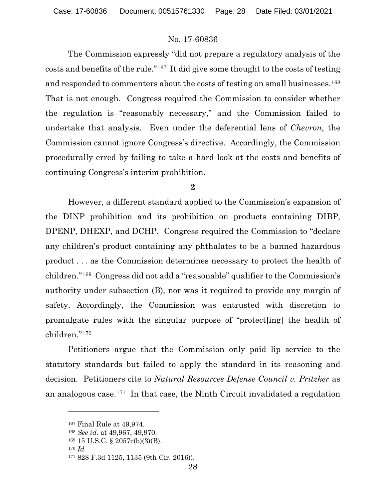The Commission expressly "did not prepare a regulatory analysis of the costs and benefits of the rule."[167](#page-27-0) It did give some thought to the costs of testing and responded to commenters about the costs of testing on small businesses.<sup>[168](#page-27-1)</sup> That is not enough. Congress required the Commission to consider whether the regulation is "reasonably necessary," and the Commission failed to undertake that analysis. Even under the deferential lens of *Chevron*, the Commission cannot ignore Congress's directive. Accordingly, the Commission procedurally erred by failing to take a hard look at the costs and benefits of continuing Congress's interim prohibition.

### **2**

However, a different standard applied to the Commission's expansion of the DINP prohibition and its prohibition on products containing DIBP, DPENP, DHEXP, and DCHP. Congress required the Commission to "declare any children's product containing any phthalates to be a banned hazardous product . . . as the Commission determines necessary to protect the health of children."[169](#page-27-2) Congress did not add a "reasonable" qualifier to the Commission's authority under subsection (B), nor was it required to provide any margin of safety. Accordingly, the Commission was entrusted with discretion to promulgate rules with the singular purpose of "protect[ing] the health of children."[170](#page-27-3)

Petitioners argue that the Commission only paid lip service to the statutory standards but failed to apply the standard in its reasoning and decision. Petitioners cite to *Natural Resources Defense Council v. Pritzker* as an analogous case.[171](#page-27-4) In that case, the Ninth Circuit invalidated a regulation

<sup>170</sup> *Id.*

<span id="page-27-0"></span><sup>167</sup> Final Rule at 49,974.

<span id="page-27-1"></span><sup>168</sup> *See id.* at 49,967, 49,970.

<span id="page-27-2"></span><sup>169</sup> 15 U.S.C. § 2057c(b)(3)(B).

<span id="page-27-4"></span><span id="page-27-3"></span><sup>171</sup> 828 F.3d 1125, 1135 (9th Cir. 2016)).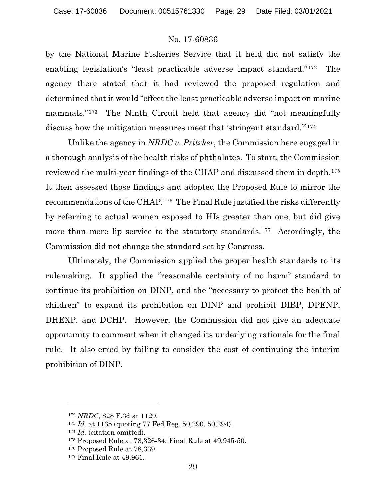by the National Marine Fisheries Service that it held did not satisfy the enabling legislation's "least practicable adverse impact standard."[172](#page-28-0) The agency there stated that it had reviewed the proposed regulation and determined that it would "effect the least practicable adverse impact on marine mammals."<sup>173</sup> The Ninth Circuit held that agency did "not meaningfully discuss how the mitigation measures meet that 'stringent standard.'"[174](#page-28-2) 

Unlike the agency in *NRDC v. Pritzker*, the Commission here engaged in a thorough analysis of the health risks of phthalates. To start, the Commission reviewed the multi-year findings of the CHAP and discussed them in depth.[175](#page-28-3) It then assessed those findings and adopted the Proposed Rule to mirror the recommendations of the CHAP.[176](#page-28-4) The Final Rule justified the risks differently by referring to actual women exposed to HIs greater than one, but did give more than mere lip service to the statutory standards.<sup>[177](#page-28-5)</sup> Accordingly, the Commission did not change the standard set by Congress.

Ultimately, the Commission applied the proper health standards to its rulemaking. It applied the "reasonable certainty of no harm" standard to continue its prohibition on DINP, and the "necessary to protect the health of children" to expand its prohibition on DINP and prohibit DIBP, DPENP, DHEXP, and DCHP. However, the Commission did not give an adequate opportunity to comment when it changed its underlying rationale for the final rule. It also erred by failing to consider the cost of continuing the interim prohibition of DINP.

<span id="page-28-0"></span><sup>172</sup> *NRDC*, 828 F.3d at 1129.

<span id="page-28-1"></span><sup>173</sup> *Id.* at 1135 (quoting 77 Fed Reg. 50,290, 50,294).

<span id="page-28-2"></span><sup>174</sup> *Id.* (citation omitted).

<span id="page-28-3"></span><sup>175</sup> Proposed Rule at 78,326-34; Final Rule at 49,945-50.

<span id="page-28-4"></span><sup>176</sup> Proposed Rule at 78,339.

<span id="page-28-5"></span><sup>177</sup> Final Rule at 49,961.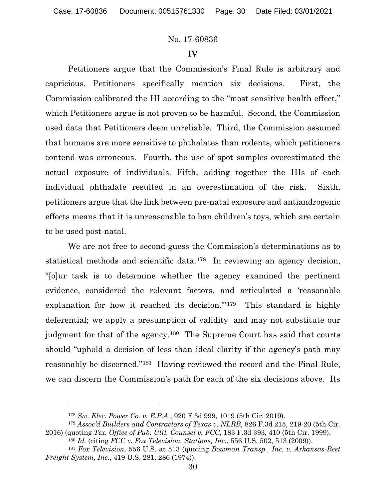### **IV**

Petitioners argue that the Commission's Final Rule is arbitrary and capricious. Petitioners specifically mention six decisions. First, the Commission calibrated the HI according to the "most sensitive health effect," which Petitioners argue is not proven to be harmful. Second, the Commission used data that Petitioners deem unreliable. Third, the Commission assumed that humans are more sensitive to phthalates than rodents, which petitioners contend was erroneous. Fourth, the use of spot samples overestimated the actual exposure of individuals. Fifth, adding together the HIs of each individual phthalate resulted in an overestimation of the risk. Sixth, petitioners argue that the link between pre-natal exposure and antiandrogenic effects means that it is unreasonable to ban children's toys, which are certain to be used post-natal.

We are not free to second-guess the Commission's determinations as to statistical methods and scientific data.[178](#page-29-0) In reviewing an agency decision, "[o]ur task is to determine whether the agency examined the pertinent evidence, considered the relevant factors, and articulated a 'reasonable explanation for how it reached its decision.'"[179](#page-29-1) This standard is highly deferential; we apply a presumption of validity and may not substitute our judgment for that of the agency.<sup>[180](#page-29-2)</sup> The Supreme Court has said that courts should "uphold a decision of less than ideal clarity if the agency's path may reasonably be discerned."[181](#page-29-3) Having reviewed the record and the Final Rule, we can discern the Commission's path for each of the six decisions above. Its

<sup>178</sup> *Sw. Elec. Power Co. v. E.P.A.*, 920 F.3d 999, 1019 (5th Cir. 2019).

<span id="page-29-1"></span><span id="page-29-0"></span><sup>179</sup> *Assoc'd Builders and Contractors of Texas v. NLRB*, 826 F.3d 215, 219-20 (5th Cir. 2016) (quoting *Tex. Office of Pub. Util. Counsel v. FCC*, 183 F.3d 393, 410 (5th Cir. 1999).

<sup>180</sup> *Id.* (citing *FCC v. Fox Television. Stations, Inc.*, 556 U.S. 502, 513 (2009)).

<span id="page-29-3"></span><span id="page-29-2"></span><sup>181</sup> *Fox Television*, 556 U.S. at 513 (quoting *Bowman Transp., Inc. v. Arkansas-Best Freight System, Inc.*, 419 U.S. 281, 286 (1974)).